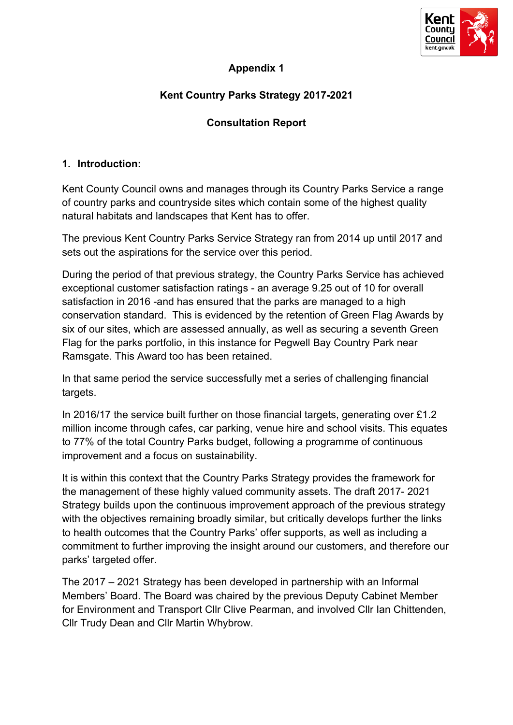

# **Appendix 1**

# **Kent Country Parks Strategy 2017-2021**

# **Consultation Report**

#### **1. Introduction:**

Kent County Council owns and manages through its Country Parks Service a range of country parks and countryside sites which contain some of the highest quality natural habitats and landscapes that Kent has to offer.

The previous Kent Country Parks Service Strategy ran from 2014 up until 2017 and sets out the aspirations for the service over this period.

During the period of that previous strategy, the Country Parks Service has achieved exceptional customer satisfaction ratings - an average 9.25 out of 10 for overall satisfaction in 2016 -and has ensured that the parks are managed to a high conservation standard. This is evidenced by the retention of Green Flag Awards by six of our sites, which are assessed annually, as well as securing a seventh Green Flag for the parks portfolio, in this instance for Pegwell Bay Country Park near Ramsgate. This Award too has been retained.

In that same period the service successfully met a series of challenging financial targets.

In 2016/17 the service built further on those financial targets, generating over £1.2 million income through cafes, car parking, venue hire and school visits. This equates to 77% of the total Country Parks budget, following a programme of continuous improvement and a focus on sustainability.

It is within this context that the Country Parks Strategy provides the framework for the management of these highly valued community assets. The draft 2017- 2021 Strategy builds upon the continuous improvement approach of the previous strategy with the objectives remaining broadly similar, but critically develops further the links to health outcomes that the Country Parks' offer supports, as well as including a commitment to further improving the insight around our customers, and therefore our parks' targeted offer.

The 2017 – 2021 Strategy has been developed in partnership with an Informal Members' Board. The Board was chaired by the previous Deputy Cabinet Member for Environment and Transport Cllr Clive Pearman, and involved Cllr Ian Chittenden, Cllr Trudy Dean and Cllr Martin Whybrow.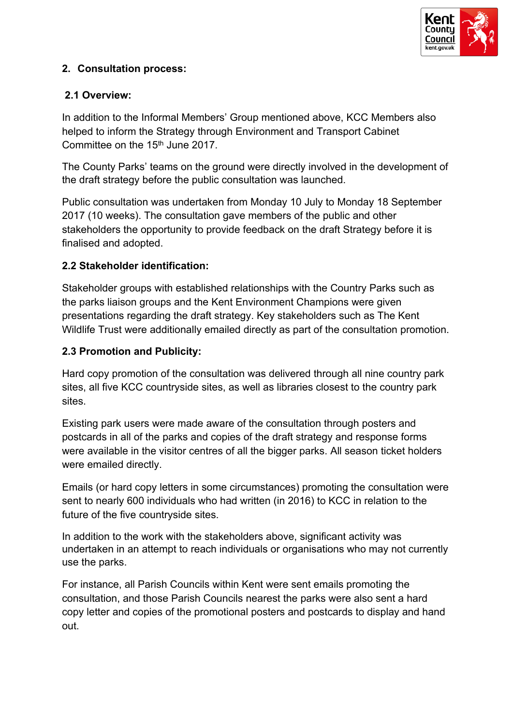

# **2. Consultation process:**

## **2.1 Overview:**

In addition to the Informal Members' Group mentioned above, KCC Members also helped to inform the Strategy through Environment and Transport Cabinet Committee on the 15th June 2017.

The County Parks' teams on the ground were directly involved in the development of the draft strategy before the public consultation was launched.

Public consultation was undertaken from Monday 10 July to Monday 18 September 2017 (10 weeks). The consultation gave members of the public and other stakeholders the opportunity to provide feedback on the draft Strategy before it is finalised and adopted.

## **2.2 Stakeholder identification:**

Stakeholder groups with established relationships with the Country Parks such as the parks liaison groups and the Kent Environment Champions were given presentations regarding the draft strategy. Key stakeholders such as The Kent Wildlife Trust were additionally emailed directly as part of the consultation promotion.

## **2.3 Promotion and Publicity:**

Hard copy promotion of the consultation was delivered through all nine country park sites, all five KCC countryside sites, as well as libraries closest to the country park sites.

Existing park users were made aware of the consultation through posters and postcards in all of the parks and copies of the draft strategy and response forms were available in the visitor centres of all the bigger parks. All season ticket holders were emailed directly.

Emails (or hard copy letters in some circumstances) promoting the consultation were sent to nearly 600 individuals who had written (in 2016) to KCC in relation to the future of the five countryside sites.

In addition to the work with the stakeholders above, significant activity was undertaken in an attempt to reach individuals or organisations who may not currently use the parks.

For instance, all Parish Councils within Kent were sent emails promoting the consultation, and those Parish Councils nearest the parks were also sent a hard copy letter and copies of the promotional posters and postcards to display and hand out.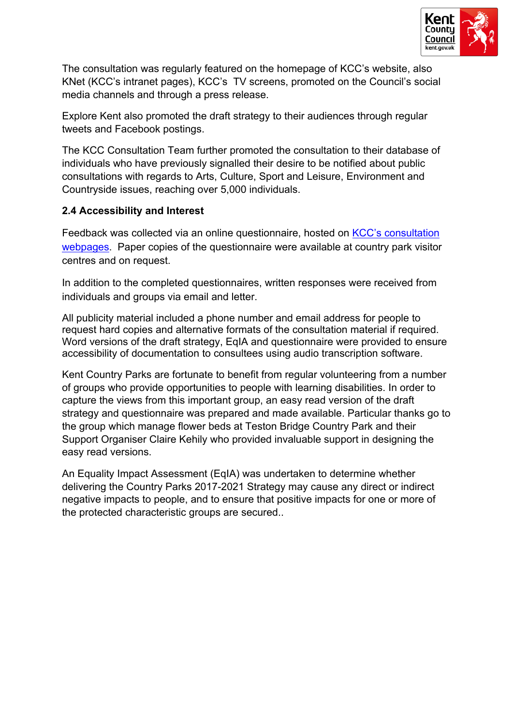

The consultation was regularly featured on the homepage of KCC's website, also KNet (KCC's intranet pages), KCC's TV screens, promoted on the Council's social media channels and through a press release.

Explore Kent also promoted the draft strategy to their audiences through regular tweets and Facebook postings.

The KCC Consultation Team further promoted the consultation to their database of individuals who have previously signalled their desire to be notified about public consultations with regards to Arts, Culture, Sport and Leisure, Environment and Countryside issues, reaching over 5,000 individuals.

## **2.4 Accessibility and Interest**

Feedback was collected via an online questionnaire, hosted on KCC's [consultation](https://consultations.kent.gov.uk/consult.ti/countryparksstrategy) [webpages.](https://consultations.kent.gov.uk/consult.ti/countryparksstrategy) Paper copies of the questionnaire were available at country park visitor centres and on request.

In addition to the completed questionnaires, written responses were received from individuals and groups via email and letter.

All publicity material included a phone number and email address for people to request hard copies and alternative formats of the consultation material if required. Word versions of the draft strategy, EqIA and questionnaire were provided to ensure accessibility of documentation to consultees using audio transcription software.

Kent Country Parks are fortunate to benefit from regular volunteering from a number of groups who provide opportunities to people with learning disabilities. In order to capture the views from this important group, an easy read version of the draft strategy and questionnaire was prepared and made available. Particular thanks go to the group which manage flower beds at Teston Bridge Country Park and their Support Organiser Claire Kehily who provided invaluable support in designing the easy read versions.

An Equality Impact Assessment (EqIA) was undertaken to determine whether delivering the Country Parks 2017-2021 Strategy may cause any direct or indirect negative impacts to people, and to ensure that positive impacts for one or more of the protected characteristic groups are secured..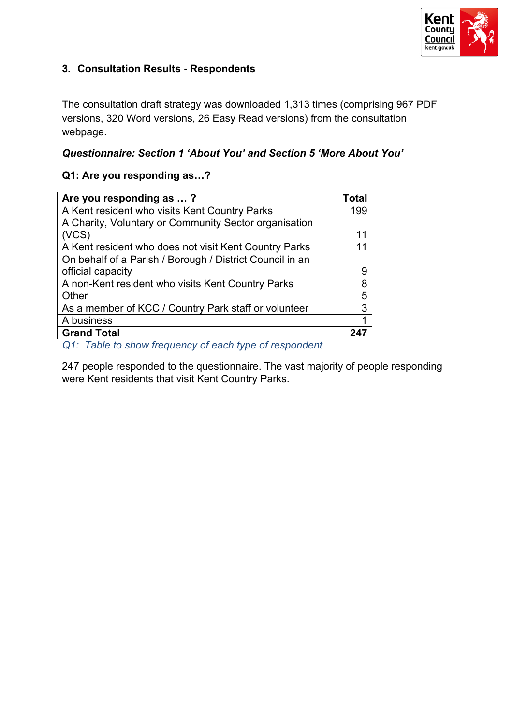

# **3. Consultation Results - Respondents**

The consultation draft strategy was downloaded 1,313 times (comprising 967 PDF versions, 320 Word versions, 26 Easy Read versions) from the consultation webpage.

## *Questionnaire: Section 1 'About You' and Section 5 'More About You'*

#### **Q1: Are you responding as…?**

| Are you responding as ?                                  | Total |
|----------------------------------------------------------|-------|
| A Kent resident who visits Kent Country Parks            | 199   |
| A Charity, Voluntary or Community Sector organisation    |       |
| (VCS)                                                    | 11    |
| A Kent resident who does not visit Kent Country Parks    | 11    |
| On behalf of a Parish / Borough / District Council in an |       |
| official capacity                                        | 9     |
| A non-Kent resident who visits Kent Country Parks        | 8     |
| Other                                                    | 5     |
| As a member of KCC / Country Park staff or volunteer     | 3     |
| A business                                               |       |
| <b>Grand Total</b>                                       |       |

*Q1: Table to show frequency of each type of respondent*

247 people responded to the questionnaire. The vast majority of people responding were Kent residents that visit Kent Country Parks.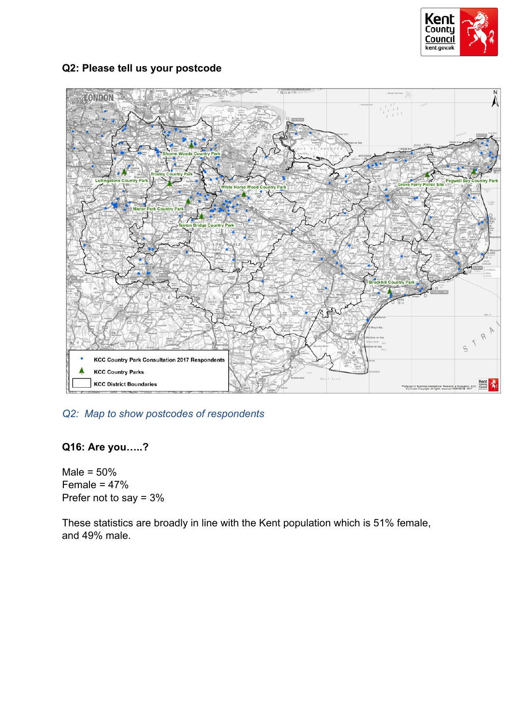

## **Q2: Please tell us your postcode**



# *Q2: Map to show postcodes of respondents*

## **Q16: Are you…..?**

Male =  $50%$ Female  $= 47%$ Prefer not to say = 3%

These statistics are broadly in line with the Kent population which is 51% female, and 49% male.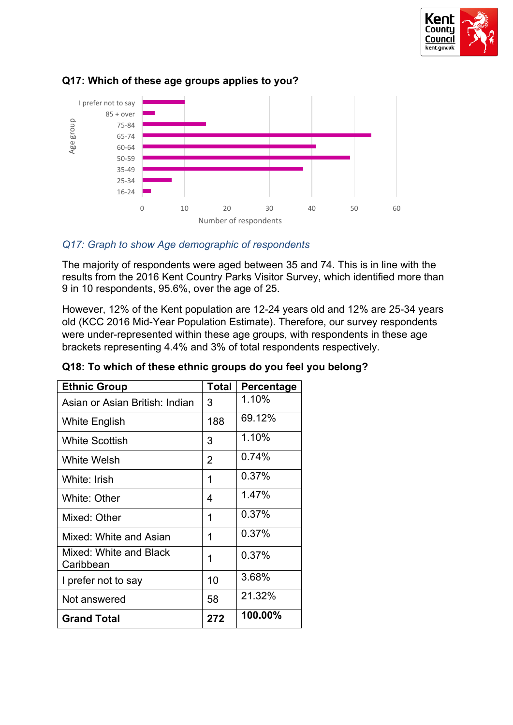



## **Q17: Which of these age groups applies to you?**

#### *Q17: Graph to show Age demographic of respondents*

The majority of respondents were aged between 35 and 74. This is in line with the results from the 2016 Kent Country Parks Visitor Survey, which identified more than 9 in 10 respondents, 95.6%, over the age of 25.

However, 12% of the Kent population are 12-24 years old and 12% are 25-34 years old (KCC 2016 Mid-Year Population Estimate). Therefore, our survey respondents were under-represented within these age groups, with respondents in these age brackets representing 4.4% and 3% of total respondents respectively.

| <b>Ethnic Group</b>                 | <b>Total</b> | <b>Percentage</b> |
|-------------------------------------|--------------|-------------------|
| Asian or Asian British: Indian      | 3            | 1.10%             |
| White English                       | 188          | 69.12%            |
| <b>White Scottish</b>               | 3            | 1.10%             |
| White Welsh                         | 2            | 0.74%             |
| White: Irish                        | 1            | 0.37%             |
| White: Other                        | 4            | 1.47%             |
| Mixed: Other                        | 1            | 0.37%             |
| Mixed: White and Asian              | 1            | 0.37%             |
| Mixed: White and Black<br>Caribbean | 1            | 0.37%             |
| I prefer not to say                 | 10           | 3.68%             |
| Not answered                        | 58           | 21.32%            |
| <b>Grand Total</b>                  | 272          | 100.00%           |

## **Q18: To which of these ethnic groups do you feel you belong?**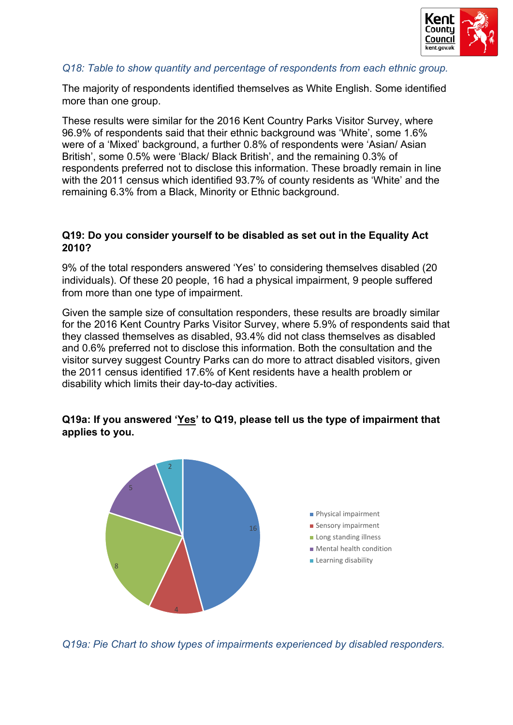

#### *Q18: Table to show quantity and percentage of respondents from each ethnic group.*

The majority of respondents identified themselves as White English. Some identified more than one group.

These results were similar for the 2016 Kent Country Parks Visitor Survey, where 96.9% of respondents said that their ethnic background was 'White', some 1.6% were of a 'Mixed' background, a further 0.8% of respondents were 'Asian/ Asian British', some 0.5% were 'Black/ Black British', and the remaining 0.3% of respondents preferred not to disclose this information. These broadly remain in line with the 2011 census which identified 93.7% of county residents as 'White' and the remaining 6.3% from a Black, Minority or Ethnic background.

#### **Q19: Do you consider yourself to be disabled as set out in the Equality Act 2010?**

9% of the total responders answered 'Yes' to considering themselves disabled (20 individuals). Of these 20 people, 16 had a physical impairment, 9 people suffered from more than one type of impairment.

Given the sample size of consultation responders, these results are broadly similar for the 2016 Kent Country Parks Visitor Survey, where 5.9% of respondents said that they classed themselves as disabled, 93.4% did not class themselves as disabled and 0.6% preferred not to disclose this information. Both the consultation and the visitor survey suggest Country Parks can do more to attract disabled visitors, given the 2011 census identified 17.6% of Kent residents have a health problem or disability which limits their day-to-day activities.

# **Q19a: If you answered 'Yes' to Q19, please tell us the type of impairment that applies to you.**



*Q19a: Pie Chart to show types of impairments experienced by disabled responders.*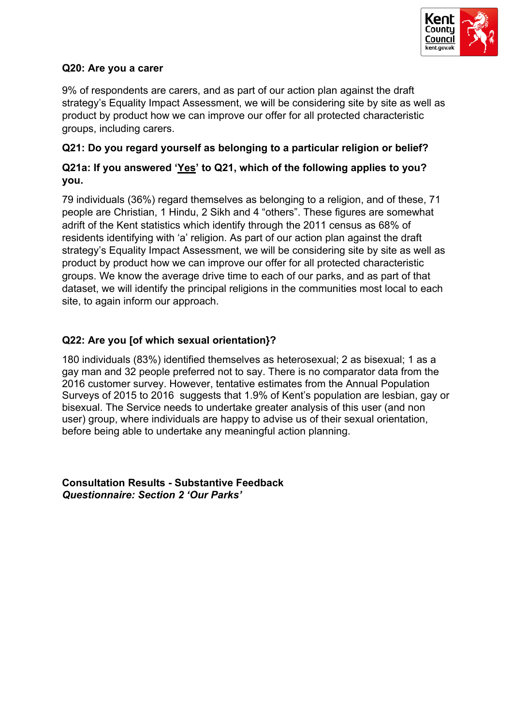

#### **Q20: Are you a carer**

9% of respondents are carers, and as part of our action plan against the draft strategy's Equality Impact Assessment, we will be considering site by site as well as product by product how we can improve our offer for all protected characteristic groups, including carers.

## **Q21: Do you regard yourself as belonging to a particular religion or belief?**

# **Q21a: If you answered 'Yes' to Q21, which of the following applies to you? you.**

79 individuals (36%) regard themselves as belonging to a religion, and of these, 71 people are Christian, 1 Hindu, 2 Sikh and 4 "others". These figures are somewhat adrift of the Kent statistics which identify through the 2011 census as 68% of residents identifying with 'a' religion. As part of our action plan against the draft strategy's Equality Impact Assessment, we will be considering site by site as well as product by product how we can improve our offer for all protected characteristic groups. We know the average drive time to each of our parks, and as part of that dataset, we will identify the principal religions in the communities most local to each site, to again inform our approach.

# **Q22: Are you [of which sexual orientation}?**

180 individuals (83%) identified themselves as heterosexual; 2 as bisexual; 1 as a gay man and 32 people preferred not to say. There is no comparator data from the 2016 customer survey. However, tentative estimates from the Annual Population Surveys of 2015 to 2016 suggests that 1.9% of Kent's population are lesbian, gay or bisexual. The Service needs to undertake greater analysis of this user (and non user) group, where individuals are happy to advise us of their sexual orientation, before being able to undertake any meaningful action planning.

**Consultation Results - Substantive Feedback** *Questionnaire: Section 2 'Our Parks'*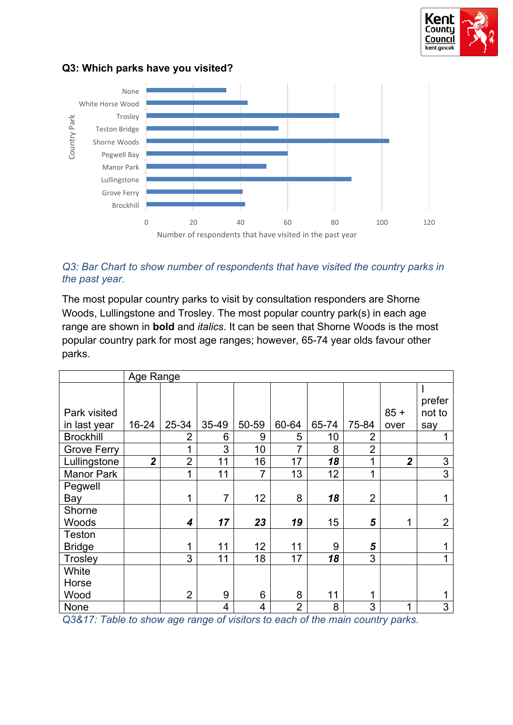

#### **Q3: Which parks have you visited?**



#### *Q3: Bar Chart to show number of respondents that have visited the country parks in the past year.*

The most popular country parks to visit by consultation responders are Shorne Woods, Lullingstone and Trosley. The most popular country park(s) in each age range are shown in **bold** and *italics*. It can be seen that Shorne Woods is the most popular country park for most age ranges; however, 65-74 year olds favour other parks.

|                    | Age Range      |                |       |                |                |       |                |                |                |
|--------------------|----------------|----------------|-------|----------------|----------------|-------|----------------|----------------|----------------|
|                    |                |                |       |                |                |       |                |                |                |
|                    |                |                |       |                |                |       |                |                | prefer         |
| Park visited       |                |                |       |                |                |       |                | $85 +$         | not to         |
| in last year       | 16-24          | 25-34          | 35-49 | 50-59          | 60-64          | 65-74 | 75-84          | over           | say            |
| <b>Brockhill</b>   |                | $\overline{2}$ | 6     | 9              | 5              | 10    | 2              |                |                |
| <b>Grove Ferry</b> |                | 1              | 3     | 10             | 7              | 8     | $\overline{2}$ |                |                |
| Lullingstone       | $\overline{2}$ | $\overline{2}$ | 11    | 16             | 17             | 18    | 1              | $\overline{2}$ | 3              |
| <b>Manor Park</b>  |                | 1              | 11    | $\overline{7}$ | 13             | 12    | 1              |                | $\overline{3}$ |
| Pegwell            |                |                |       |                |                |       |                |                |                |
| Bay                |                | 1              | 7     | 12             | 8              | 18    | $\overline{2}$ |                |                |
| Shorne             |                |                |       |                |                |       |                |                |                |
| Woods              |                | 4              | 17    | 23             | 19             | 15    | 5              | 1              | $\overline{2}$ |
| <b>Teston</b>      |                |                |       |                |                |       |                |                |                |
| <b>Bridge</b>      |                | 1              | 11    | 12             | 11             | 9     | 5              |                |                |
| Trosley            |                | 3              | 11    | 18             | 17             | 18    | 3              |                | 4              |
| White              |                |                |       |                |                |       |                |                |                |
| Horse              |                |                |       |                |                |       |                |                |                |
| Wood               |                | $\overline{2}$ | 9     | 6              | 8              | 11    | 1              |                |                |
| None               |                |                | 4     | 4              | $\overline{2}$ | 8     | 3              | 1              | 3              |

*Q3&17: Table to show age range of visitors to each of the main country parks.*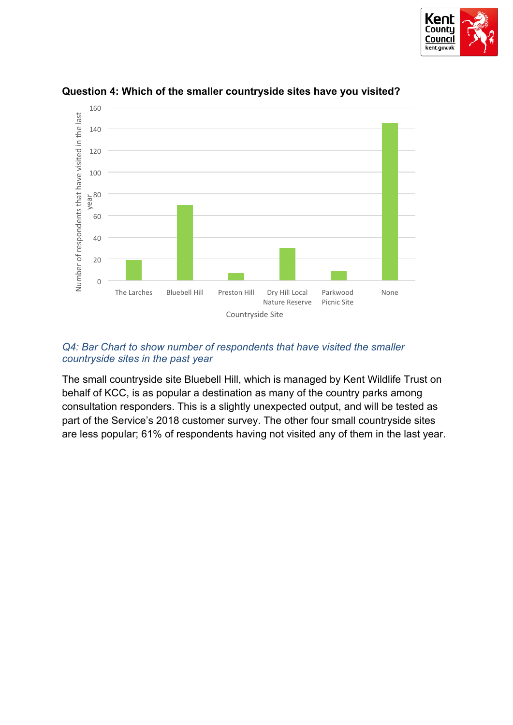



#### **Question 4: Which of the smaller countryside sites have you visited?**

#### *Q4: Bar Chart to show number of respondents that have visited the smaller countryside sites in the past year*

The small countryside site Bluebell Hill, which is managed by Kent Wildlife Trust on behalf of KCC, is as popular a destination as many of the country parks among consultation responders. This is a slightly unexpected output, and will be tested as part of the Service's 2018 customer survey. The other four small countryside sites are less popular; 61% of respondents having not visited any of them in the last year.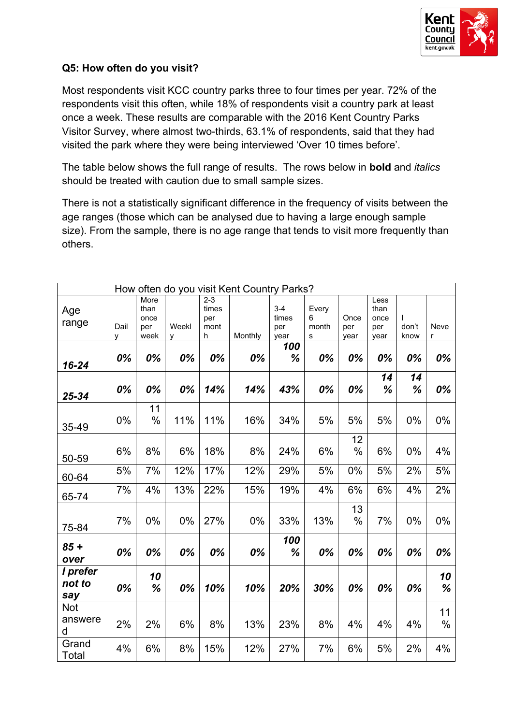

#### **Q5: How often do you visit?**

Most respondents visit KCC country parks three to four times per year. 72% of the respondents visit this often, while 18% of respondents visit a country park at least once a week. These results are comparable with the 2016 Kent Country Parks Visitor Survey, where almost two-thirds, 63.1% of respondents, said that they had visited the park where they were being interviewed 'Over 10 times before'.

The table below shows the full range of results. The rows below in **bold** and *italics* should be treated with caution due to small sample sizes.

There is not a statistically significant difference in the frequency of visits between the age ranges (those which can be analysed due to having a large enough sample size). From the sample, there is no age range that tends to visit more frequently than others.

|                            |           |                                     |            |                                      | How often do you visit Kent Country Parks? |                                 |                          |                     |                                     |               |            |
|----------------------------|-----------|-------------------------------------|------------|--------------------------------------|--------------------------------------------|---------------------------------|--------------------------|---------------------|-------------------------------------|---------------|------------|
| Age<br>range               | Dail<br>v | More<br>than<br>once<br>per<br>week | Weekl<br>٧ | $2 - 3$<br>times<br>per<br>mont<br>h | Monthly                                    | $3 - 4$<br>times<br>per<br>year | Every<br>6<br>month<br>s | Once<br>per<br>year | Less<br>than<br>once<br>per<br>year | don't<br>know | Neve<br>r  |
| $16 - 24$                  | 0%        | 0%                                  | 0%         | 0%                                   | 0%                                         | 100<br>%                        | 0%                       | 0%                  | 0%                                  | 0%            | 0%         |
| 25-34                      | 0%        | 0%                                  | 0%         | 14%                                  | 14%                                        | 43%                             | 0%                       | 0%                  | 14<br>%                             | 14<br>%       | 0%         |
| 35-49                      | $0\%$     | 11<br>$\%$                          | 11%        | 11%                                  | 16%                                        | 34%                             | 5%                       | 5%                  | 5%                                  | 0%            | 0%         |
| 50-59                      | 6%        | 8%                                  | 6%         | 18%                                  | 8%                                         | 24%                             | 6%                       | 12<br>$\%$          | 6%                                  | 0%            | 4%         |
| 60-64                      | 5%        | 7%                                  | 12%        | 17%                                  | 12%                                        | 29%                             | 5%                       | 0%                  | 5%                                  | 2%            | $5%$       |
| 65-74                      | 7%        | 4%                                  | 13%        | 22%                                  | 15%                                        | 19%                             | 4%                       | 6%                  | 6%                                  | 4%            | 2%         |
| 75-84                      | 7%        | $0\%$                               | 0%         | 27%                                  | 0%                                         | 33%                             | 13%                      | 13<br>%             | 7%                                  | 0%            | $0\%$      |
| $85 +$<br>over             | 0%        | 0%                                  | 0%         | 0%                                   | 0%                                         | 100<br>%                        | 0%                       | 0%                  | 0%                                  | 0%            | 0%         |
| I prefer<br>not to<br>say  | 0%        | 10<br>%                             | 0%         | 10%                                  | 10%                                        | 20%                             | 30%                      | 0%                  | 0%                                  | 0%            | 10<br>%    |
| <b>Not</b><br>answere<br>d | 2%        | 2%                                  | 6%         | 8%                                   | 13%                                        | 23%                             | 8%                       | 4%                  | 4%                                  | 4%            | 11<br>$\%$ |
| Grand<br>Total             | 4%        | 6%                                  | 8%         | 15%                                  | 12%                                        | 27%                             | 7%                       | 6%                  | 5%                                  | 2%            | 4%         |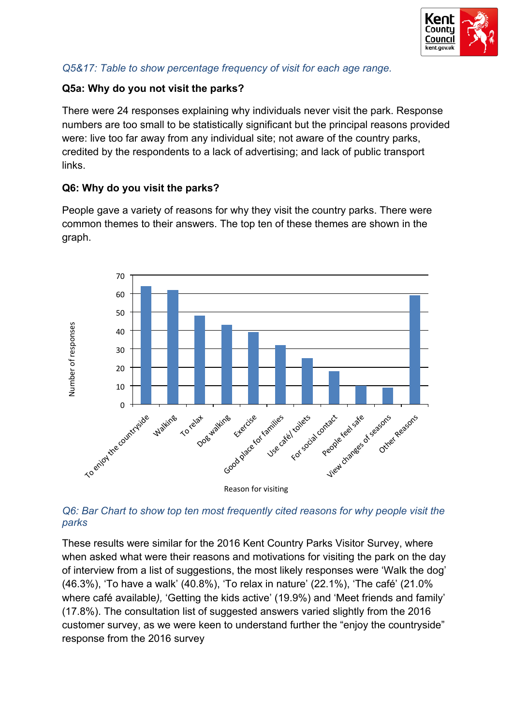

# *Q5&17: Table to show percentage frequency of visit for each age range.*

## **Q5a: Why do you not visit the parks?**

There were 24 responses explaining why individuals never visit the park. Response numbers are too small to be statistically significant but the principal reasons provided were: live too far away from any individual site; not aware of the country parks, credited by the respondents to a lack of advertising; and lack of public transport links.

# **Q6: Why do you visit the parks?**

People gave a variety of reasons for why they visit the country parks. There were common themes to their answers. The top ten of these themes are shown in the graph.



## *Q6: Bar Chart to show top ten most frequently cited reasons for why people visit the parks*

These results were similar for the 2016 Kent Country Parks Visitor Survey, where when asked what were their reasons and motivations for visiting the park on the day of interview from a list of suggestions, the most likely responses were 'Walk the dog' (46.3%), 'To have a walk' (40.8%), 'To relax in nature' (22.1%), 'The café' (21.0% where café available*),* 'Getting the kids active' (19.9%) and 'Meet friends and family' (17.8%). The consultation list of suggested answers varied slightly from the 2016 customer survey, as we were keen to understand further the "enjoy the countryside" response from the 2016 survey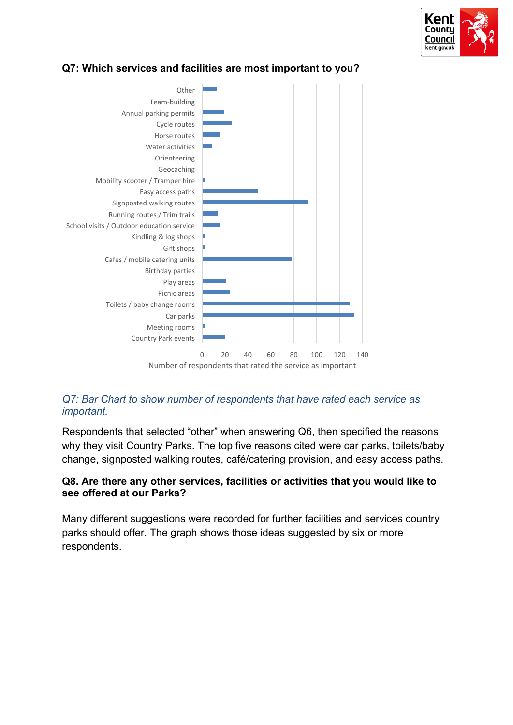



# **Q7: Which services and facilities are most important to you?**

## *Q7: Bar Chart to show number of respondents that have rated each service as important.*

Respondents that selected "other" when answering Q6, then specified the reasons why they visit Country Parks. The top five reasons cited were car parks, toilets/baby change, signposted walking routes, café/catering provision, and easy access paths.

# **Q8. Are there any other services, facilities or activities that you would like to see offered at our Parks?**

Many different suggestions were recorded for further facilities and services country parks should offer. The graph shows those ideas suggested by six or more respondents.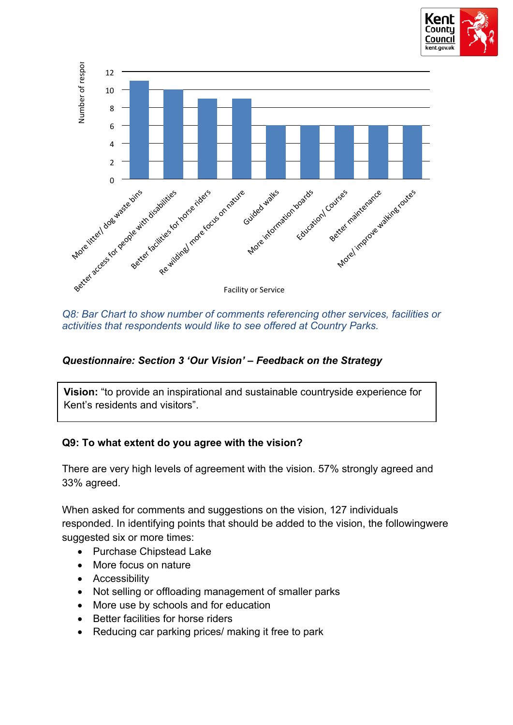



*Q8: Bar Chart to show number of comments referencing other services, facilities or activities that respondents would like to see offered at Country Parks.*

## *Questionnaire: Section 3 'Our Vision' – Feedback on the Strategy*

**Vision:** "to provide an inspirational and sustainable countryside experience for Kent's residents and visitors".

## **Q9: To what extent do you agree with the vision?**

There are very high levels of agreement with the vision. 57% strongly agreed and 33% agreed.

When asked for comments and suggestions on the vision, 127 individuals responded. In identifying points that should be added to the vision, the followingwere suggested six or more times:

- Purchase Chipstead Lake
- More focus on nature
- Accessibility
- Not selling or offloading management of smaller parks
- More use by schools and for education
- Better facilities for horse riders
- Reducing car parking prices/ making it free to park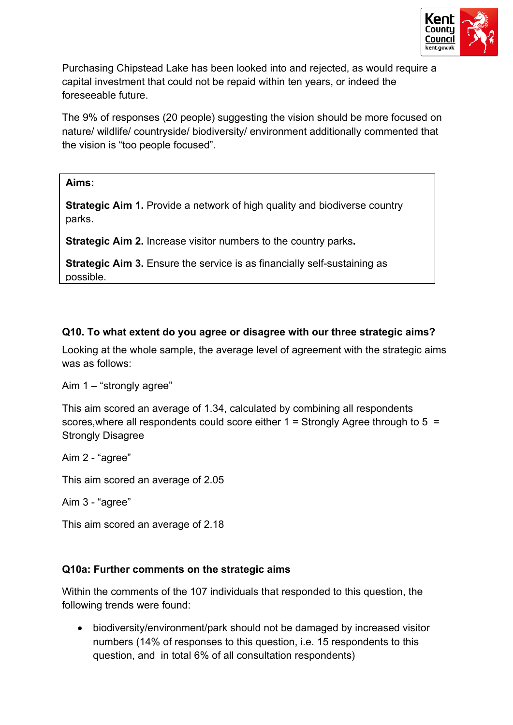

Purchasing Chipstead Lake has been looked into and rejected, as would require a capital investment that could not be repaid within ten years, or indeed the foreseeable future.

The 9% of responses (20 people) suggesting the vision should be more focused on nature/ wildlife/ countryside/ biodiversity/ environment additionally commented that the vision is "too people focused".

#### **Aims:**

**Strategic Aim 1.** Provide a network of high quality and biodiverse country parks.

**Strategic Aim 2.** Increase visitor numbers to the country parks**.**

**Strategic Aim 3.** Ensure the service is as financially self-sustaining as possible.

# **Q10. To what extent do you agree or disagree with our three strategic aims?**

Looking at the whole sample, the average level of agreement with the strategic aims was as follows:

Aim 1 – "strongly agree"

This aim scored an average of 1.34, calculated by combining all respondents scores,where all respondents could score either 1 = Strongly Agree through to 5 = Strongly Disagree

Aim 2 - "agree"

This aim scored an average of 2.05

Aim 3 - "agree"

This aim scored an average of 2.18

## **Q10a: Further comments on the strategic aims**

Within the comments of the 107 individuals that responded to this question, the following trends were found:

 biodiversity/environment/park should not be damaged by increased visitor numbers (14% of responses to this question, i.e. 15 respondents to this question, and in total 6% of all consultation respondents)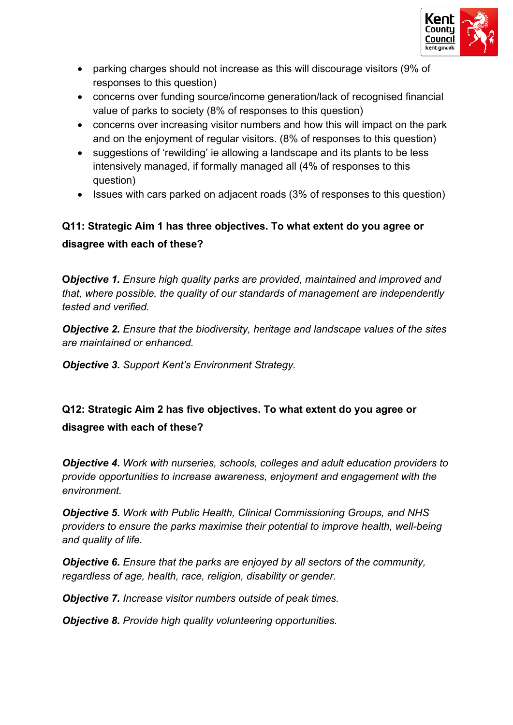

- parking charges should not increase as this will discourage visitors (9% of responses to this question)
- concerns over funding source/income generation/lack of recognised financial value of parks to society (8% of responses to this question)
- concerns over increasing visitor numbers and how this will impact on the park and on the enjoyment of regular visitors. (8% of responses to this question)
- suggestions of 'rewilding' ie allowing a landscape and its plants to be less intensively managed, if formally managed all (4% of responses to this question)
- Issues with cars parked on adjacent roads (3% of responses to this question)

# **Q11: Strategic Aim 1 has three objectives. To what extent do you agree or disagree with each of these?**

**O***bjective 1. Ensure high quality parks are provided, maintained and improved and that, where possible, the quality of our standards of management are independently tested and verified.*

*Objective 2. Ensure that the biodiversity, heritage and landscape values of the sites are maintained or enhanced.*

*Objective 3. Support Kent's Environment Strategy.*

# **Q12: Strategic Aim 2 has five objectives. To what extent do you agree or disagree with each of these?**

*Objective 4. Work with nurseries, schools, colleges and adult education providers to provide opportunities to increase awareness, enjoyment and engagement with the environment.*

*Objective 5. Work with Public Health, Clinical Commissioning Groups, and NHS providers to ensure the parks maximise their potential to improve health, well-being and quality of life.*

*Objective 6. Ensure that the parks are enjoyed by all sectors of the community, regardless of age, health, race, religion, disability or gender.*

*Objective 7. Increase visitor numbers outside of peak times.*

*Objective 8. Provide high quality volunteering opportunities.*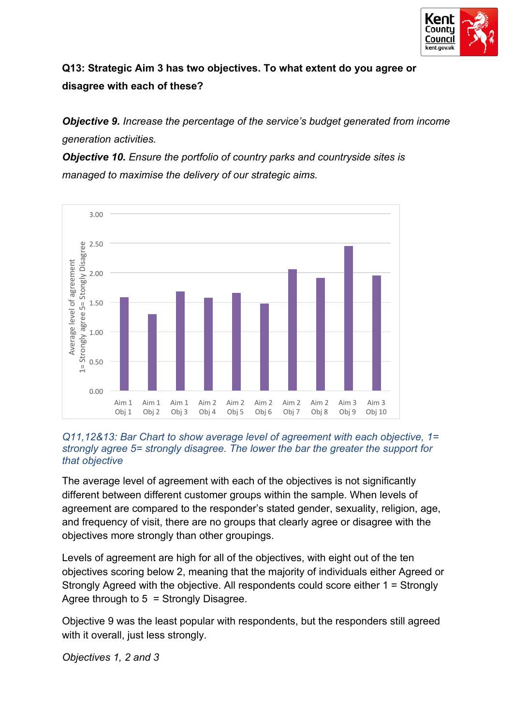

# **Q13: Strategic Aim 3 has two objectives. To what extent do you agree or disagree with each of these?**

*Objective 9. Increase the percentage of the service's budget generated from income generation activities.*

*Objective 10. Ensure the portfolio of country parks and countryside sites is managed to maximise the delivery of our strategic aims.*



#### *Q11,12&13: Bar Chart to show average level of agreement with each objective, 1= strongly agree 5= strongly disagree. The lower the bar the greater the support for that objective*

The average level of agreement with each of the objectives is not significantly different between different customer groups within the sample. When levels of agreement are compared to the responder's stated gender, sexuality, religion, age, and frequency of visit, there are no groups that clearly agree or disagree with the objectives more strongly than other groupings.

Levels of agreement are high for all of the objectives, with eight out of the ten objectives scoring below 2, meaning that the majority of individuals either Agreed or Strongly Agreed with the objective. All respondents could score either 1 = Strongly Agree through to 5 = Strongly Disagree.

Objective 9 was the least popular with respondents, but the responders still agreed with it overall, just less strongly.

*Objectives 1, 2 and 3*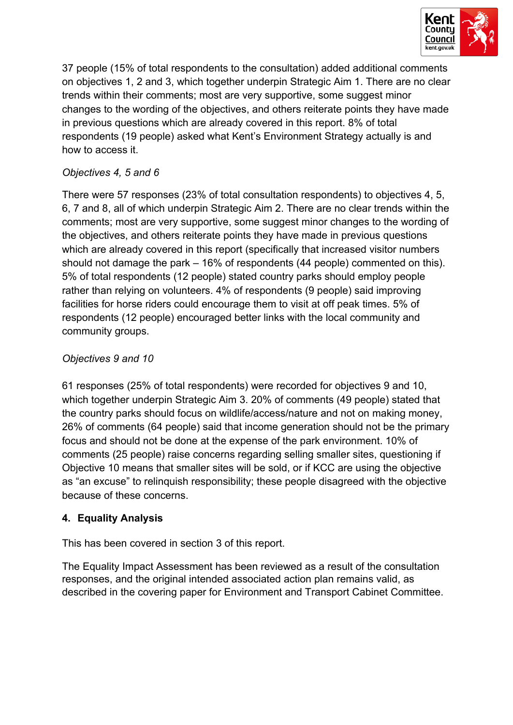

37 people (15% of total respondents to the consultation) added additional comments on objectives 1, 2 and 3, which together underpin Strategic Aim 1. There are no clear trends within their comments; most are very supportive, some suggest minor changes to the wording of the objectives, and others reiterate points they have made in previous questions which are already covered in this report. 8% of total respondents (19 people) asked what Kent's Environment Strategy actually is and how to access it.

# *Objectives 4, 5 and 6*

There were 57 responses (23% of total consultation respondents) to objectives 4, 5, 6, 7 and 8, all of which underpin Strategic Aim 2. There are no clear trends within the comments; most are very supportive, some suggest minor changes to the wording of the objectives, and others reiterate points they have made in previous questions which are already covered in this report (specifically that increased visitor numbers should not damage the park – 16% of respondents (44 people) commented on this). 5% of total respondents (12 people) stated country parks should employ people rather than relying on volunteers. 4% of respondents (9 people) said improving facilities for horse riders could encourage them to visit at off peak times. 5% of respondents (12 people) encouraged better links with the local community and community groups.

# *Objectives 9 and 10*

61 responses (25% of total respondents) were recorded for objectives 9 and 10, which together underpin Strategic Aim 3. 20% of comments (49 people) stated that the country parks should focus on wildlife/access/nature and not on making money, 26% of comments (64 people) said that income generation should not be the primary focus and should not be done at the expense of the park environment. 10% of comments (25 people) raise concerns regarding selling smaller sites, questioning if Objective 10 means that smaller sites will be sold, or if KCC are using the objective as "an excuse" to relinquish responsibility; these people disagreed with the objective because of these concerns.

# **4. Equality Analysis**

This has been covered in section 3 of this report.

The Equality Impact Assessment has been reviewed as a result of the consultation responses, and the original intended associated action plan remains valid, as described in the covering paper for Environment and Transport Cabinet Committee.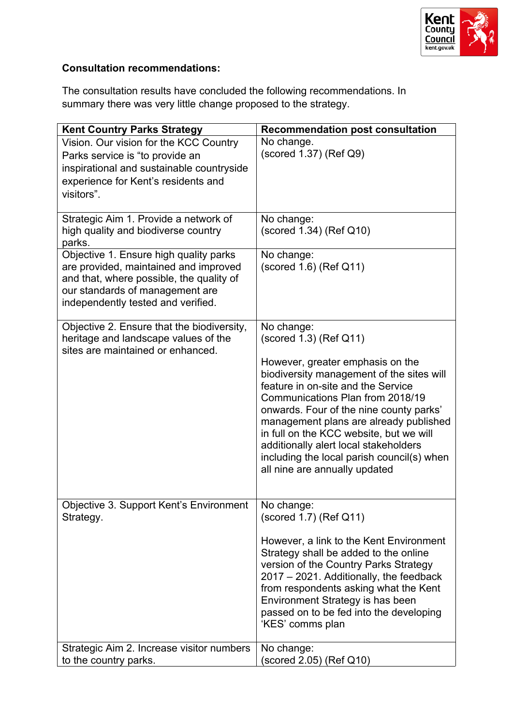

# **Consultation recommendations:**

The consultation results have concluded the following recommendations. In summary there was very little change proposed to the strategy.

| <b>Kent Country Parks Strategy</b>                                              | <b>Recommendation post consultation</b>                                          |
|---------------------------------------------------------------------------------|----------------------------------------------------------------------------------|
| Vision. Our vision for the KCC Country                                          | No change.                                                                       |
| Parks service is "to provide an                                                 | (scored 1.37) (Ref Q9)                                                           |
| inspirational and sustainable countryside                                       |                                                                                  |
| experience for Kent's residents and                                             |                                                                                  |
| visitors".                                                                      |                                                                                  |
|                                                                                 |                                                                                  |
| Strategic Aim 1. Provide a network of                                           | No change:                                                                       |
| high quality and biodiverse country                                             | (scored 1.34) (Ref Q10)                                                          |
| parks.                                                                          |                                                                                  |
| Objective 1. Ensure high quality parks<br>are provided, maintained and improved | No change:<br>$(scored 1.6)$ (Ref Q11)                                           |
| and that, where possible, the quality of                                        |                                                                                  |
| our standards of management are                                                 |                                                                                  |
| independently tested and verified.                                              |                                                                                  |
|                                                                                 |                                                                                  |
| Objective 2. Ensure that the biodiversity,                                      | No change:                                                                       |
| heritage and landscape values of the                                            | $(scored 1.3)$ (Ref Q11)                                                         |
| sites are maintained or enhanced.                                               |                                                                                  |
|                                                                                 | However, greater emphasis on the<br>biodiversity management of the sites will    |
|                                                                                 | feature in on-site and the Service                                               |
|                                                                                 | Communications Plan from 2018/19                                                 |
|                                                                                 | onwards. Four of the nine county parks'                                          |
|                                                                                 | management plans are already published                                           |
|                                                                                 | in full on the KCC website, but we will                                          |
|                                                                                 | additionally alert local stakeholders                                            |
|                                                                                 | including the local parish council(s) when                                       |
|                                                                                 | all nine are annually updated                                                    |
|                                                                                 |                                                                                  |
| Objective 3. Support Kent's Environment                                         | No change:                                                                       |
| Strategy.                                                                       | (scored 1.7) (Ref Q11)                                                           |
|                                                                                 |                                                                                  |
|                                                                                 | However, a link to the Kent Environment                                          |
|                                                                                 | Strategy shall be added to the online                                            |
|                                                                                 | version of the Country Parks Strategy<br>2017 - 2021. Additionally, the feedback |
|                                                                                 | from respondents asking what the Kent                                            |
|                                                                                 | Environment Strategy is has been                                                 |
|                                                                                 | passed on to be fed into the developing                                          |
|                                                                                 | 'KES' comms plan                                                                 |
|                                                                                 |                                                                                  |
| Strategic Aim 2. Increase visitor numbers<br>to the country parks.              | No change:<br>(scored 2.05) (Ref Q10)                                            |
|                                                                                 |                                                                                  |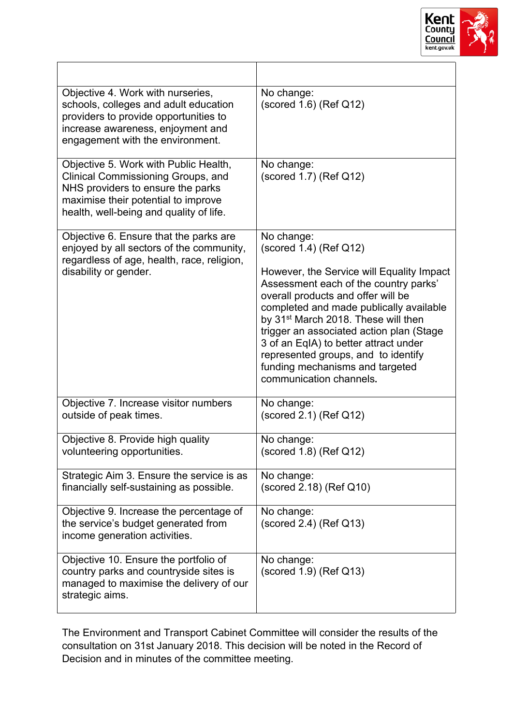

| Objective 4. Work with nurseries,<br>schools, colleges and adult education<br>providers to provide opportunities to<br>increase awareness, enjoyment and<br>engagement with the environment.       | No change:<br>$(scored 1.6)$ (Ref Q12)                                                                                                                                                                                                                                                                                                                                                                                                                     |
|----------------------------------------------------------------------------------------------------------------------------------------------------------------------------------------------------|------------------------------------------------------------------------------------------------------------------------------------------------------------------------------------------------------------------------------------------------------------------------------------------------------------------------------------------------------------------------------------------------------------------------------------------------------------|
| Objective 5. Work with Public Health,<br>Clinical Commissioning Groups, and<br>NHS providers to ensure the parks<br>maximise their potential to improve<br>health, well-being and quality of life. | No change:<br>(scored 1.7) (Ref Q12)                                                                                                                                                                                                                                                                                                                                                                                                                       |
| Objective 6. Ensure that the parks are<br>enjoyed by all sectors of the community,<br>regardless of age, health, race, religion,<br>disability or gender.                                          | No change:<br>$(scored 1.4)$ (Ref Q12)<br>However, the Service will Equality Impact<br>Assessment each of the country parks'<br>overall products and offer will be<br>completed and made publically available<br>by 31 <sup>st</sup> March 2018. These will then<br>trigger an associated action plan (Stage<br>3 of an EqIA) to better attract under<br>represented groups, and to identify<br>funding mechanisms and targeted<br>communication channels. |
| Objective 7. Increase visitor numbers<br>outside of peak times.                                                                                                                                    | No change:<br>$(scored 2.1)$ (Ref Q12)                                                                                                                                                                                                                                                                                                                                                                                                                     |
| Objective 8. Provide high quality<br>volunteering opportunities.                                                                                                                                   | No change:<br>(scored 1.8) (Ref Q12)                                                                                                                                                                                                                                                                                                                                                                                                                       |
| Strategic Aim 3. Ensure the service is as<br>financially self-sustaining as possible.                                                                                                              | No change:<br>(scored 2.18) (Ref Q10)                                                                                                                                                                                                                                                                                                                                                                                                                      |
| Objective 9. Increase the percentage of<br>the service's budget generated from<br>income generation activities.                                                                                    | No change:<br>(scored 2.4) (Ref Q13)                                                                                                                                                                                                                                                                                                                                                                                                                       |
| Objective 10. Ensure the portfolio of<br>country parks and countryside sites is<br>managed to maximise the delivery of our<br>strategic aims.                                                      | No change:<br>$(scored 1.9)$ (Ref Q13)                                                                                                                                                                                                                                                                                                                                                                                                                     |

The Environment and Transport Cabinet Committee will consider the results of the consultation on 31st January 2018. This decision will be noted in the Record of Decision and in minutes of the committee meeting.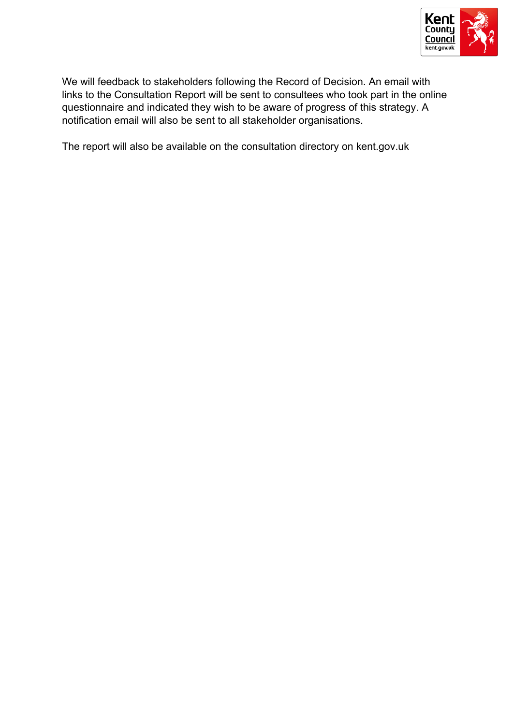

We will feedback to stakeholders following the Record of Decision. An email with links to the Consultation Report will be sent to consultees who took part in the online questionnaire and indicated they wish to be aware of progress of this strategy. A notification email will also be sent to all stakeholder organisations.

The report will also be available on the consultation directory on kent.gov.uk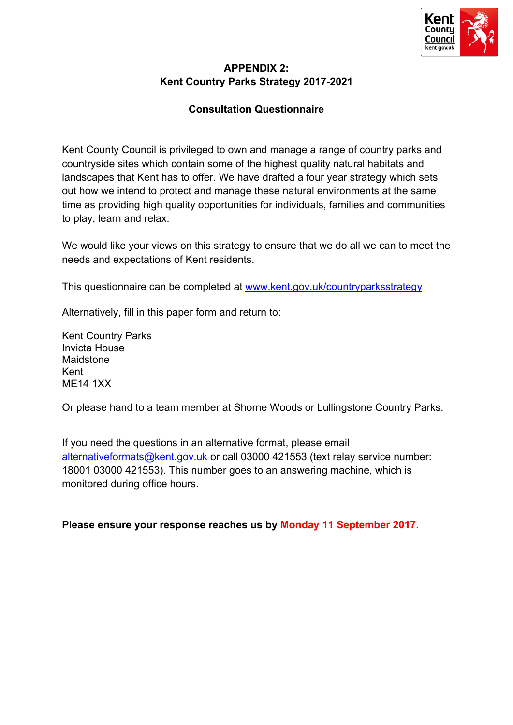

## **APPENDIX 2: Kent Country Parks Strategy 2017-2021**

# **Consultation Questionnaire**

Kent County Council is privileged to own and manage a range of country parks and countryside sites which contain some of the highest quality natural habitats and landscapes that Kent has to offer. We have drafted a four year strategy which sets out how we intend to protect and manage these natural environments at the same time as providing high quality opportunities for individuals, families and communities to play, learn and relax.

We would like your views on this strategy to ensure that we do all we can to meet the needs and expectations of Kent residents.

This questionnaire can be completed at [www.kent.gov.uk/countryparksstrategy](http://www.kent.gov.uk/countryparksstrategy)

Alternatively, fill in this paper form and return to:

Kent Country Parks Invicta House Maidstone Kent ME14 1XX

Or please hand to a team member at Shorne Woods or Lullingstone Country Parks.

If you need the questions in an alternative format, please email [alternativeformats@kent.gov.uk](mailto:alternativeformats@kent.gov.uk) or call 03000 421553 (text relay service number: 18001 03000 421553). This number goes to an answering machine, which is monitored during office hours.

**Please ensure your response reaches us by Monday 11 September 2017.**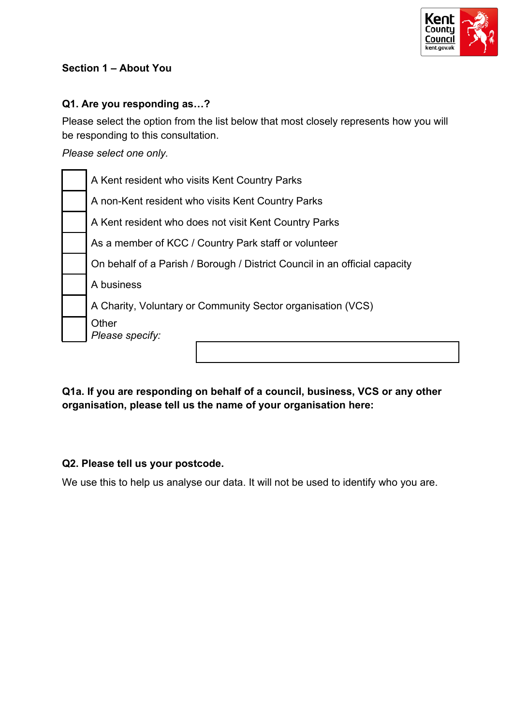

# **Section 1 – About You**

# **Q1. Are you responding as…?**

Please select the option from the list below that most closely represents how you will be responding to this consultation.

*Please select one only.*

| A Kent resident who visits Kent Country Parks                              |
|----------------------------------------------------------------------------|
| A non-Kent resident who visits Kent Country Parks                          |
| A Kent resident who does not visit Kent Country Parks                      |
| As a member of KCC / Country Park staff or volunteer                       |
| On behalf of a Parish / Borough / District Council in an official capacity |
| A business                                                                 |
| A Charity, Voluntary or Community Sector organisation (VCS)                |
| Other<br>Please specify:                                                   |
|                                                                            |

**Q1a. If you are responding on behalf of a council, business, VCS or any other organisation, please tell us the name of your organisation here:**

## **Q2. Please tell us your postcode.**

We use this to help us analyse our data. It will not be used to identify who you are.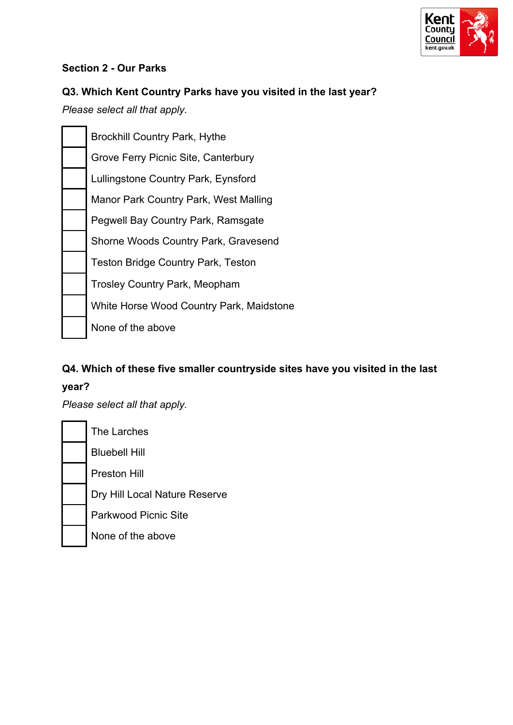

## **Section 2 - Our Parks**

# **Q3. Which Kent Country Parks have you visited in the last year?**

*Please select all that apply.*

| <b>Brockhill Country Park, Hythe</b>      |
|-------------------------------------------|
| Grove Ferry Picnic Site, Canterbury       |
| Lullingstone Country Park, Eynsford       |
| Manor Park Country Park, West Malling     |
| Pegwell Bay Country Park, Ramsgate        |
| Shorne Woods Country Park, Gravesend      |
| <b>Teston Bridge Country Park, Teston</b> |
| <b>Trosley Country Park, Meopham</b>      |
| White Horse Wood Country Park, Maidstone  |
| None of the above                         |
|                                           |

# **Q4. Which of these five smaller countryside sites have you visited in the last year?**

*Please select all that apply.*

| The Larches                   |
|-------------------------------|
| <b>Bluebell Hill</b>          |
| <b>Preston Hill</b>           |
| Dry Hill Local Nature Reserve |
| Parkwood Picnic Site          |
| None of the above             |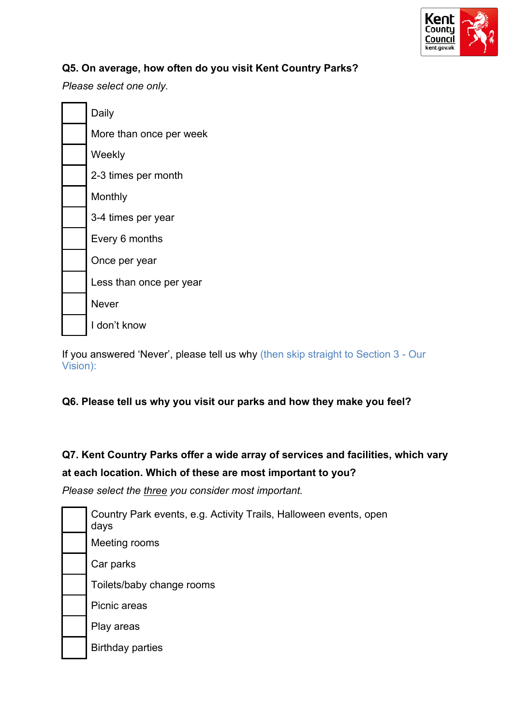

# **Q5. On average, how often do you visit Kent Country Parks?**

*Please select one only.*

| Daily                   |
|-------------------------|
| More than once per week |
| Weekly                  |
| 2-3 times per month     |
| Monthly                 |
| 3-4 times per year      |
| Every 6 months          |
| Once per year           |
| Less than once per year |
| <b>Never</b>            |
| I don't know            |

If you answered 'Never', please tell us why (then skip straight to Section 3 - Our Vision):

## **Q6. Please tell us why you visit our parks and how they make you feel?**

# **Q7. Kent Country Parks offer a wide array of services and facilities, which vary at each location. Which of these are most important to you?**

*Please select the three you consider most important.*

| Country Park events, e.g. Activity Trails, Halloween events, open<br>days |
|---------------------------------------------------------------------------|
| Meeting rooms                                                             |
| Car parks                                                                 |
| Toilets/baby change rooms                                                 |
| Picnic areas                                                              |
| Play areas                                                                |
| <b>Birthday parties</b>                                                   |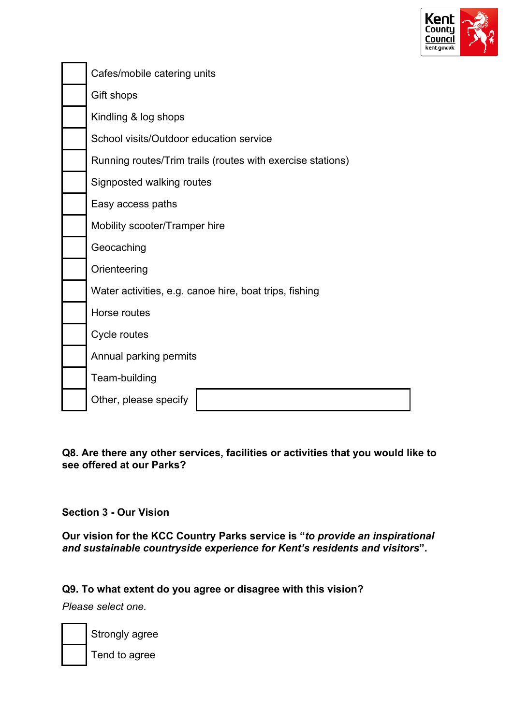

| Cafes/mobile catering units                                |
|------------------------------------------------------------|
| Gift shops                                                 |
| Kindling & log shops                                       |
| School visits/Outdoor education service                    |
| Running routes/Trim trails (routes with exercise stations) |
| Signposted walking routes                                  |
| Easy access paths                                          |
| Mobility scooter/Tramper hire                              |
| Geocaching                                                 |
| Orienteering                                               |
| Water activities, e.g. canoe hire, boat trips, fishing     |
| Horse routes                                               |
| Cycle routes                                               |
| Annual parking permits                                     |
| Team-building                                              |
| Other, please specify                                      |

**Q8. Are there any other services, facilities or activities that you would like to see offered at our Parks?**

**Section 3 - Our Vision**

**Our vision for the KCC Country Parks service is "***to provide an inspirational and sustainable countryside experience for Kent's residents and visitors***".**

**Q9. To what extent do you agree or disagree with this vision?**

*Please select one.*

Strongly agree

Tend to agree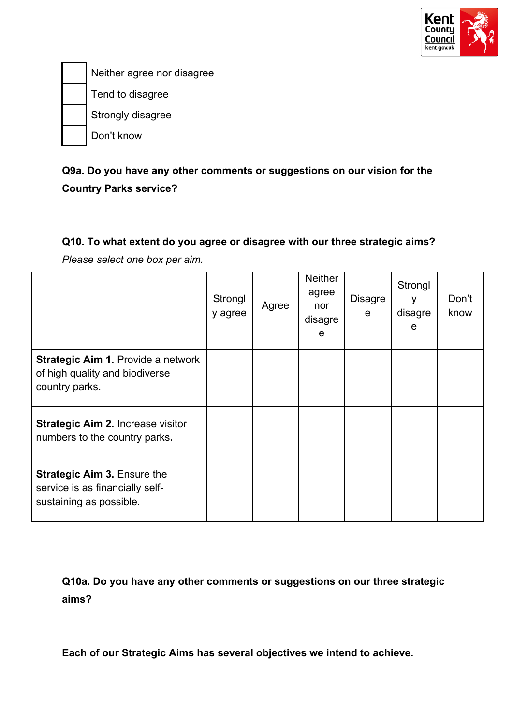

Neither agree nor disagree Tend to disagree Strongly disagree Don't know

# **Q9a. Do you have any other comments or suggestions on our vision for the Country Parks service?**

# **Q10. To what extent do you agree or disagree with our three strategic aims?**

*Please select one box per aim.*

|                                                                                                  | Strongl<br>y agree | Agree | <b>Neither</b><br>agree<br>nor<br>disagre<br>e | <b>Disagre</b><br>e | Strongl<br>v<br>disagre<br>e | Don't<br>know |
|--------------------------------------------------------------------------------------------------|--------------------|-------|------------------------------------------------|---------------------|------------------------------|---------------|
| <b>Strategic Aim 1. Provide a network</b><br>of high quality and biodiverse<br>country parks.    |                    |       |                                                |                     |                              |               |
| <b>Strategic Aim 2. Increase visitor</b><br>numbers to the country parks.                        |                    |       |                                                |                     |                              |               |
| <b>Strategic Aim 3. Ensure the</b><br>service is as financially self-<br>sustaining as possible. |                    |       |                                                |                     |                              |               |

**Q10a. Do you have any other comments or suggestions on our three strategic aims?**

**Each of our Strategic Aims has several objectives we intend to achieve.**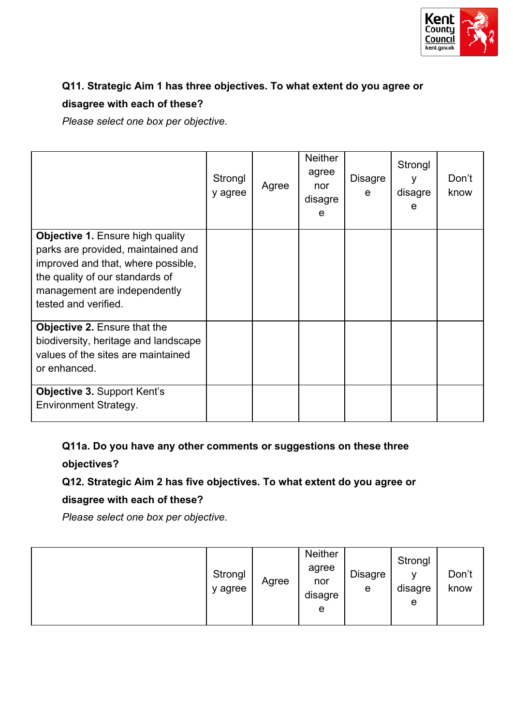

# **Q11. Strategic Aim 1 has three objectives. To what extent do you agree or disagree with each of these?**

*Please select one box per objective.*

|                                                                                                                                                                                                                | Strongl<br>y agree | Agree | <b>Neither</b><br>agree<br>nor<br>disagre<br>e | <b>Disagre</b><br>e | Strongl<br>۷<br>disagre<br>e | Don't<br>know |
|----------------------------------------------------------------------------------------------------------------------------------------------------------------------------------------------------------------|--------------------|-------|------------------------------------------------|---------------------|------------------------------|---------------|
| <b>Objective 1. Ensure high quality</b><br>parks are provided, maintained and<br>improved and that, where possible,<br>the quality of our standards of<br>management are independently<br>tested and verified. |                    |       |                                                |                     |                              |               |
| <b>Objective 2. Ensure that the</b><br>biodiversity, heritage and landscape<br>values of the sites are maintained<br>or enhanced.                                                                              |                    |       |                                                |                     |                              |               |
| <b>Objective 3. Support Kent's</b><br><b>Environment Strategy.</b>                                                                                                                                             |                    |       |                                                |                     |                              |               |

**Q11a. Do you have any other comments or suggestions on these three objectives?**

# **Q12. Strategic Aim 2 has five objectives. To what extent do you agree or**

# **disagree with each of these?**

*Please select one box per objective.*

|  | Strongl<br>y agree | Agree | <b>Neither</b><br>agree<br>nor<br>disagre<br>e | <b>Disagre</b><br>e | Strongl<br>v<br>disagre<br>e | Don't<br>know |
|--|--------------------|-------|------------------------------------------------|---------------------|------------------------------|---------------|
|--|--------------------|-------|------------------------------------------------|---------------------|------------------------------|---------------|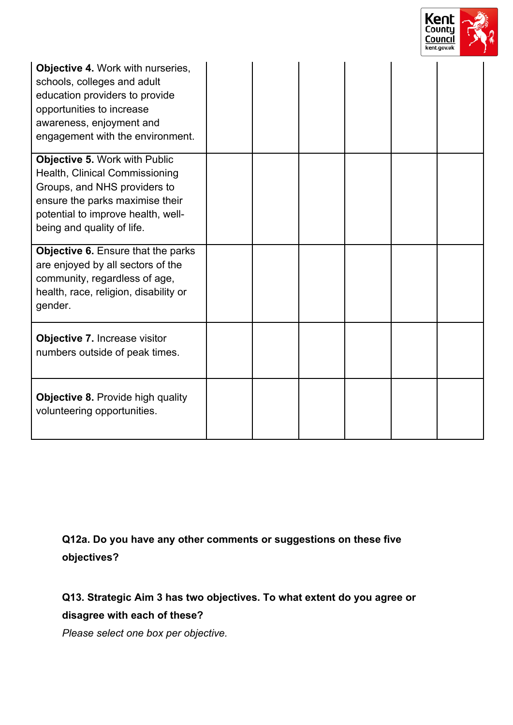

| <b>Objective 4. Work with nurseries,</b><br>schools, colleges and adult<br>education providers to provide<br>opportunities to increase<br>awareness, enjoyment and<br>engagement with the environment. |  |  |  |
|--------------------------------------------------------------------------------------------------------------------------------------------------------------------------------------------------------|--|--|--|
| Objective 5. Work with Public<br>Health, Clinical Commissioning<br>Groups, and NHS providers to<br>ensure the parks maximise their<br>potential to improve health, well-<br>being and quality of life. |  |  |  |
| Objective 6. Ensure that the parks<br>are enjoyed by all sectors of the<br>community, regardless of age,<br>health, race, religion, disability or<br>gender.                                           |  |  |  |
| Objective 7. Increase visitor<br>numbers outside of peak times.                                                                                                                                        |  |  |  |
| <b>Objective 8. Provide high quality</b><br>volunteering opportunities.                                                                                                                                |  |  |  |

**Q12a. Do you have any other comments or suggestions on these five objectives?**

**Q13. Strategic Aim 3 has two objectives. To what extent do you agree or disagree with each of these?**

*Please select one box per objective.*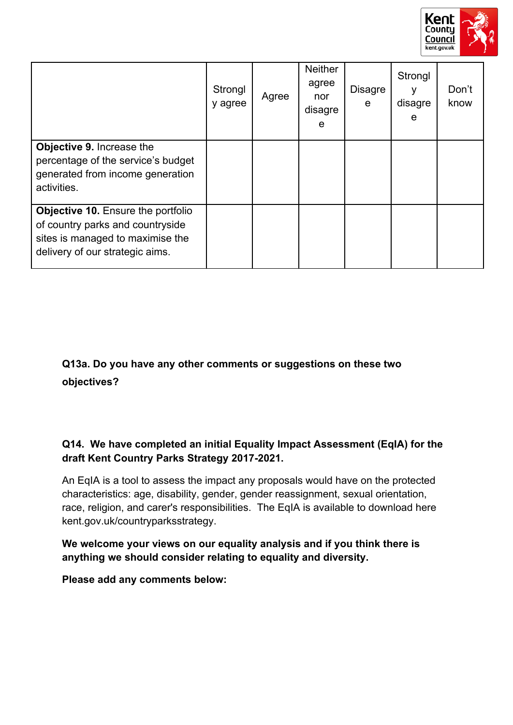

|                                                                                                                                                      | Strongl<br>y agree | Agree | <b>Neither</b><br>agree<br>nor<br>disagre<br>e | <b>Disagre</b><br>e | Strongl<br>disagre<br>e | Don't<br>know |
|------------------------------------------------------------------------------------------------------------------------------------------------------|--------------------|-------|------------------------------------------------|---------------------|-------------------------|---------------|
| Objective 9. Increase the<br>percentage of the service's budget<br>generated from income generation<br>activities.                                   |                    |       |                                                |                     |                         |               |
| <b>Objective 10.</b> Ensure the portfolio<br>of country parks and countryside<br>sites is managed to maximise the<br>delivery of our strategic aims. |                    |       |                                                |                     |                         |               |

# **Q13a. Do you have any other comments or suggestions on these two objectives?**

# **Q14. We have completed an initial Equality Impact Assessment (EqIA) for the draft Kent Country Parks Strategy 2017-2021.**

An EqIA is a tool to assess the impact any proposals would have on the protected characteristics: age, disability, gender, gender reassignment, sexual orientation, race, religion, and carer's responsibilities. The EqIA is available to download here kent.gov.uk/countryparksstrategy.

**We welcome your views on our equality analysis and if you think there is anything we should consider relating to equality and diversity.**

**Please add any comments below:**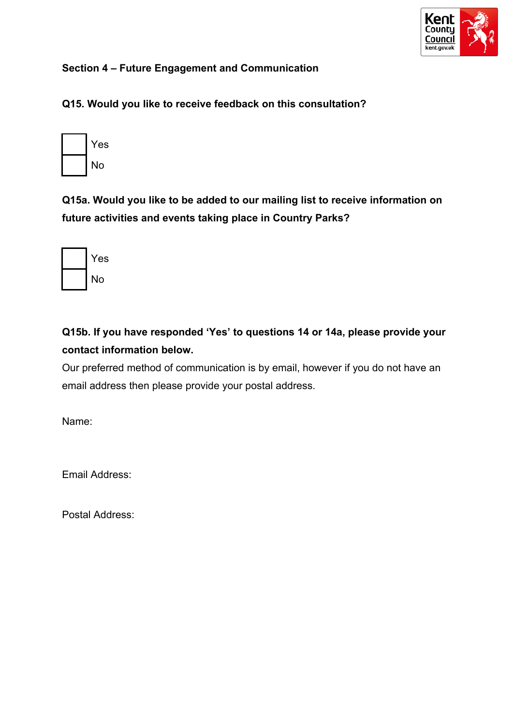

# **Section 4 – Future Engagement and Communication**

**Q15. Would you like to receive feedback on this consultation?**

| Yes |
|-----|
| No  |

**Q15a. Would you like to be added to our mailing list to receive information on future activities and events taking place in Country Parks?**

| Yes |
|-----|
| No  |

**Q15b. If you have responded 'Yes' to questions 14 or 14a, please provide your contact information below.**

Our preferred method of communication is by email, however if you do not have an email address then please provide your postal address.

Name:

Email Address:

Postal Address: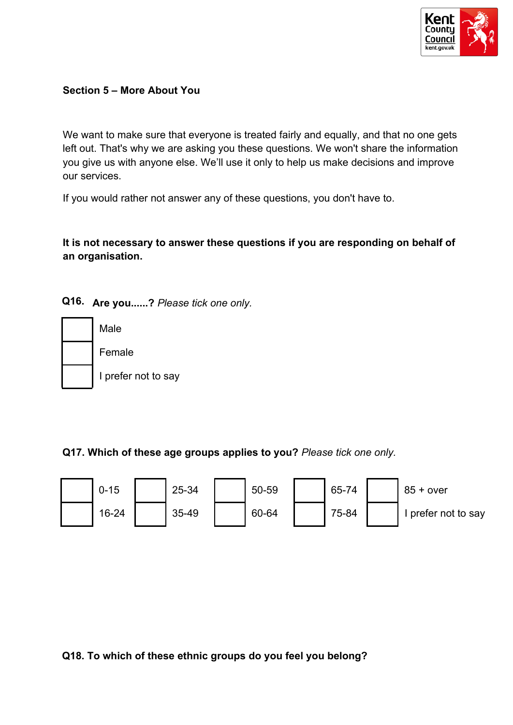

#### **Section 5 – More About You**

We want to make sure that everyone is treated fairly and equally, and that no one gets left out. That's why we are asking you these questions. We won't share the information you give us with anyone else. We'll use it only to help us make decisions and improve our services.

If you would rather not answer any of these questions, you don't have to.

**It is not necessary to answer these questions if you are responding on behalf of an organisation.**

**Q16. Are you......?** *Please tick one only.*



Female I prefer not to say

**Q17. Which of these age groups applies to you?** *Please tick one only.*



**Q18. To which of these ethnic groups do you feel you belong?**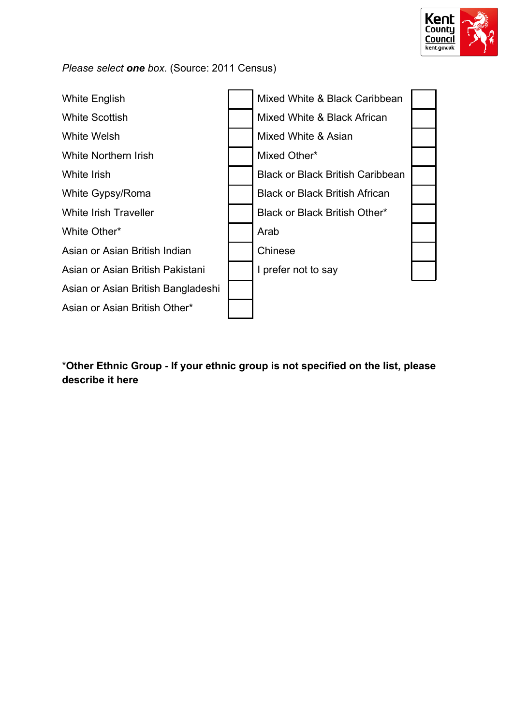

#### *Please select one box.* (Source: 2011 Census)



\***Other Ethnic Group - If your ethnic group is not specified on the list, please describe it here**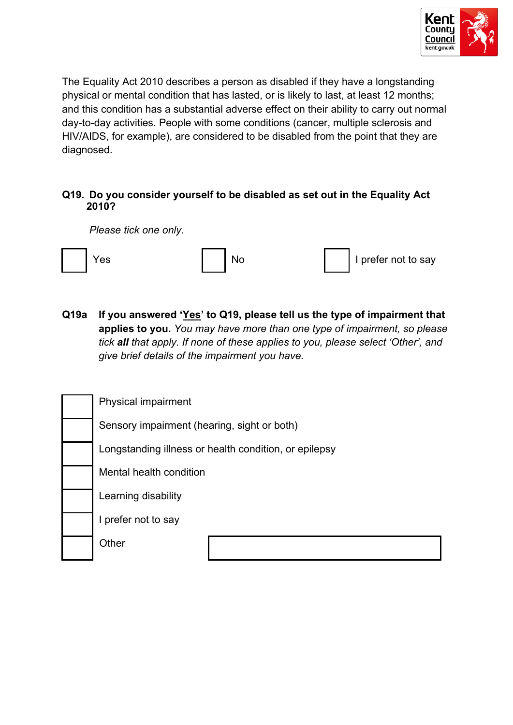

The Equality Act 2010 describes a person as disabled if they have a longstanding physical or mental condition that has lasted, or is likely to last, at least 12 months; and this condition has a substantial adverse effect on their ability to carry out normal day-to-day activities. People with some conditions (cancer, multiple sclerosis and HIV/AIDS, for example), are considered to be disabled from the point that they are diagnosed.

#### **Q19. Do you consider yourself to be disabled as set out in the Equality Act 2010?**

*Please tick one only.*

|  | Yes |  |  |  | I prefer not to say |
|--|-----|--|--|--|---------------------|
|--|-----|--|--|--|---------------------|

**Q19a If you answered 'Yes' to Q19, please tell us the type of impairment that applies to you.** *You may have more than one type of impairment, so please tick all that apply. If none of these applies to you, please select 'Other', and give brief details of the impairment you have.*

| Physical impairment                                   |
|-------------------------------------------------------|
| Sensory impairment (hearing, sight or both)           |
| Longstanding illness or health condition, or epilepsy |
| Mental health condition                               |
| Learning disability                                   |
| I prefer not to say                                   |
| Other                                                 |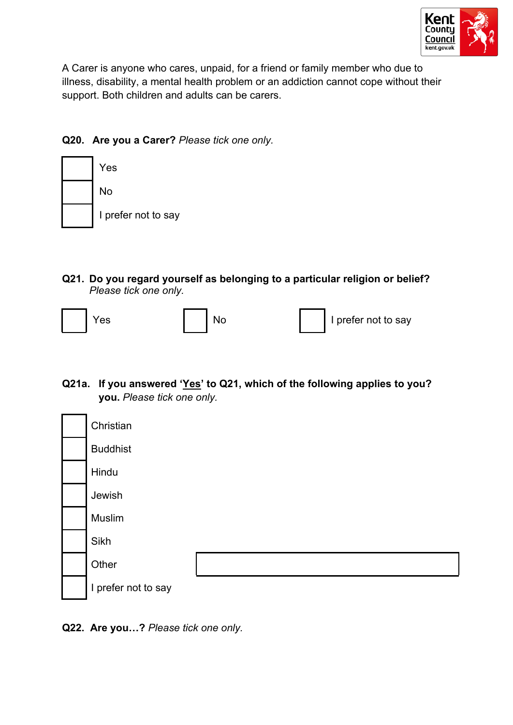

A Carer is anyone who cares, unpaid, for a friend or family member who due to illness, disability, a mental health problem or an addiction cannot cope without their support. Both children and adults can be carers.

# **Q20. Are you a Carer?** *Please tick one only.*



**Q21. Do you regard yourself as belonging to a particular religion or belief?** *Please tick one only.*



**Q21a. If you answered 'Yes' to Q21, which of the following applies to you? you.** *Please tick one only.*

| Christian           |  |
|---------------------|--|
| <b>Buddhist</b>     |  |
| Hindu               |  |
| Jewish              |  |
| Muslim              |  |
| Sikh                |  |
| Other               |  |
| I prefer not to say |  |

**Q22. Are you…?** *Please tick one only.*